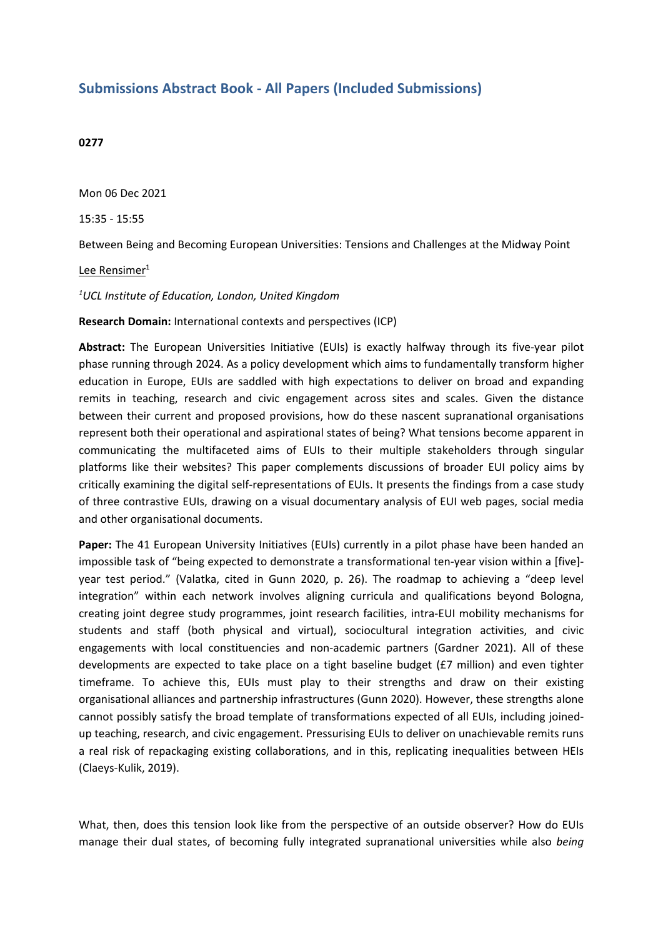## **Submissions Abstract Book - All Papers (Included Submissions)**

## **0277**

Mon 06 Dec 2021

15:35 - 15:55

Between Being and Becoming European Universities: Tensions and Challenges at the Midway Point

Lee Rensimer<sup>1</sup>

*1 UCL Institute of Education, London, United Kingdom*

**Research Domain:** International contexts and perspectives (ICP)

**Abstract:** The European Universities Initiative (EUIs) is exactly halfway through its five-year pilot phase running through 2024. As <sup>a</sup> policy development which aims to fundamentally transform higher education in Europe, EUIs are saddled with high expectations to deliver on broad and expanding remits in teaching, research and civic engagement across sites and scales. Given the distance between their current and proposed provisions, how do these nascent supranational organisations represent both their operational and aspirational states of being? What tensions become apparent in communicating the multifaceted aims of EUIs to their multiple stakeholders through singular platforms like their websites? This paper complements discussions of broader EUI policy aims by critically examining the digital self-representations of EUIs. It presents the findings from <sup>a</sup> case study of three contrastive EUIs, drawing on <sup>a</sup> visual documentary analysis of EUI web pages, social media and other organisational documents.

**Paper:** The 41 European University Initiatives (EUIs) currently in a pilot phase have been handed an impossible task of "being expected to demonstrate <sup>a</sup> transformational ten-year vision within <sup>a</sup> [five] year test period." (Valatka, cited in Gunn 2020, p. 26). The roadmap to achieving <sup>a</sup> "deep level integration" within each network involves aligning curricula and qualifications beyond Bologna, creating joint degree study programmes, joint research facilities, intra-EUI mobility mechanisms for students and staff (both physical and virtual), sociocultural integration activities, and civic engagements with local constituencies and non-academic partners (Gardner 2021). All of these developments are expected to take place on <sup>a</sup> tight baseline budget (£7 million) and even tighter timeframe. To achieve this, EUIs must play to their strengths and draw on their existing organisational alliances and partnership infrastructures (Gunn 2020). However, these strengths alone cannot possibly satisfy the broad template of transformations expected of all EUIs, including joinedup teaching, research, and civic engagement. Pressurising EUIs to deliver on unachievable remits runs <sup>a</sup> real risk of repackaging existing collaborations, and in this, replicating inequalities between HEIs (Claeys-Kulik, 2019).

What, then, does this tension look like from the perspective of an outside observer? How do EUIs manage their dual states, of becoming fully integrated supranational universities while also *being*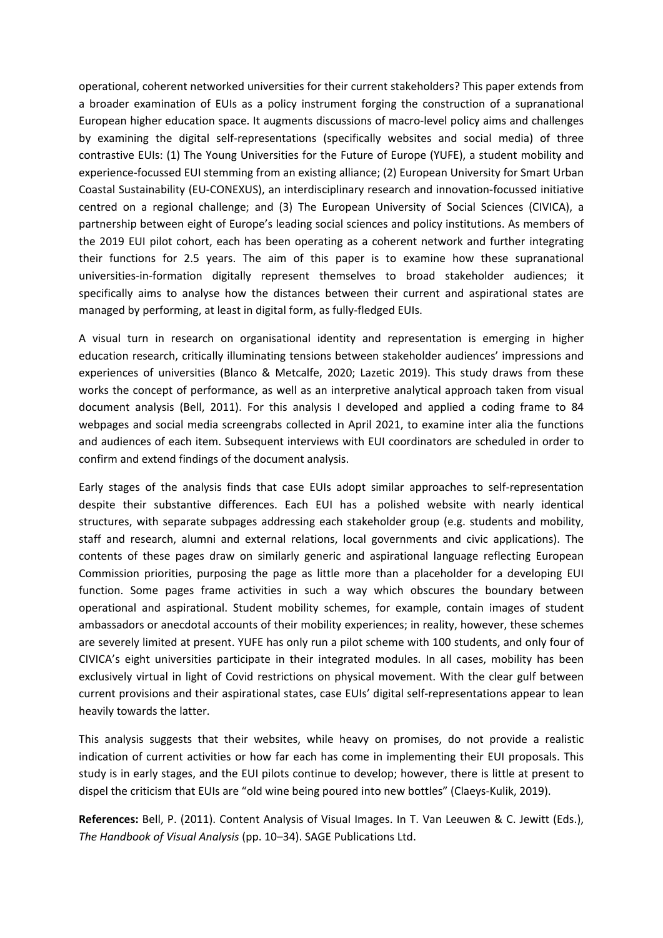operational, coherent networked universities for their current stakeholders? This paper extends from <sup>a</sup> broader examination of EUIs as <sup>a</sup> policy instrument forging the construction of <sup>a</sup> supranational European higher education space. It augments discussions of macro-level policy aims and challenges by examining the digital self-representations (specifically websites and social media) of three contrastive EUIs: (1) The Young Universities for the Future of Europe (YUFE), <sup>a</sup> student mobility and experience-focussed EUI stemming from an existing alliance; (2) European University for Smart Urban Coastal Sustainability (EU-CONEXUS), an interdisciplinary research and innovation-focussed initiative centred on <sup>a</sup> regional challenge; and (3) The European University of Social Sciences (CIVICA), <sup>a</sup> partnership between eight of Europe's leading social sciences and policy institutions. As members of the 2019 EUI pilot cohort, each has been operating as <sup>a</sup> coherent network and further integrating their functions for 2.5 years. The aim of this paper is to examine how these supranational universities-in-formation digitally represent themselves to broad stakeholder audiences; it specifically aims to analyse how the distances between their current and aspirational states are managed by performing, at least in digital form, as fully-fledged EUIs.

A visual turn in research on organisational identity and representation is emerging in higher education research, critically illuminating tensions between stakeholder audiences' impressions and experiences of universities (Blanco & Metcalfe, 2020; Lazetic 2019). This study draws from these works the concept of performance, as well as an interpretive analytical approach taken from visual document analysis (Bell, 2011). For this analysis I developed and applied <sup>a</sup> coding frame to 84 webpages and social media screengrabs collected in April 2021, to examine inter alia the functions and audiences of each item. Subsequent interviews with EUI coordinators are scheduled in order to confirm and extend findings of the document analysis.

Early stages of the analysis finds that case EUIs adopt similar approaches to self-representation despite their substantive differences. Each EUI has <sup>a</sup> polished website with nearly identical structures, with separate subpages addressing each stakeholder group (e.g. students and mobility, staff and research, alumni and external relations, local governments and civic applications). The contents of these pages draw on similarly generic and aspirational language reflecting European Commission priorities, purposing the page as little more than <sup>a</sup> placeholder for <sup>a</sup> developing EUI function. Some pages frame activities in such <sup>a</sup> way which obscures the boundary between operational and aspirational. Student mobility schemes, for example, contain images of student ambassadors or anecdotal accounts of their mobility experiences; in reality, however, these schemes are severely limited at present. YUFE has only run <sup>a</sup> pilot scheme with 100 students, and only four of CIVICA's eight universities participate in their integrated modules. In all cases, mobility has been exclusively virtual in light of Covid restrictions on physical movement. With the clear gulf between current provisions and their aspirational states, case EUIs' digital self-representations appear to lean heavily towards the latter.

This analysis suggests that their websites, while heavy on promises, do not provide <sup>a</sup> realistic indication of current activities or how far each has come in implementing their EUI proposals. This study is in early stages, and the EUI pilots continue to develop; however, there is little at present to dispel the criticism that EUIs are "old wine being poured into new bottles" (Claeys-Kulik, 2019).

**References:** Bell, P. (2011). Content Analysis of Visual Images. In T. Van Leeuwen & C. Jewitt (Eds.), *The Handbook of Visual Analysis* (pp. 10–34). SAGE Publications Ltd.